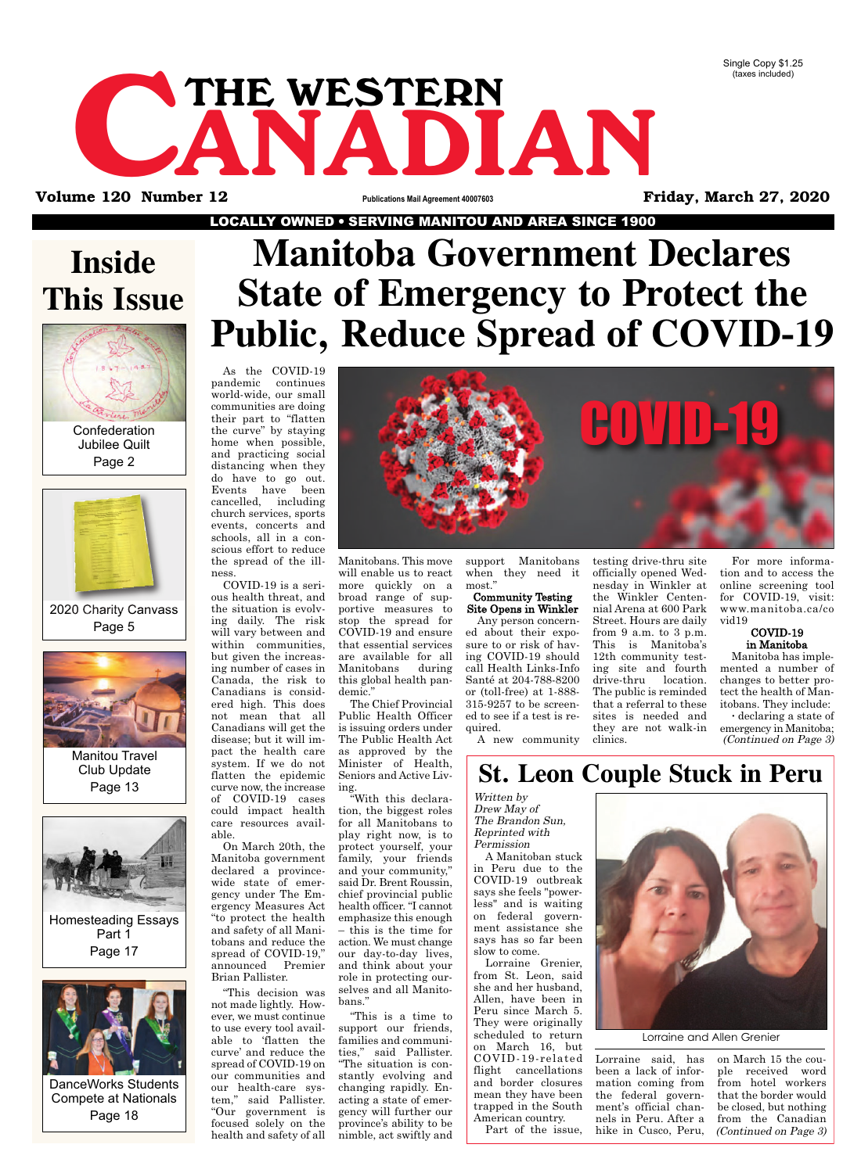CANADIAN THE WESTERN

**Volume 120 Number 12 Publications Mail Agreement 40007603 Friday, March 27, 2020**

LOCALLY OWNED ● SERVING MANITOU AND AREA SINCE 1900

### **Inside This Issue**



Confederation Jubilee Quilt Page 2



2020 Charity Canvass Page 5



Manitou Travel Club Update Page 13





# **Manitoba Government Declares State of Emergency to Protect the Public, Reduce Spread of COVID-19**

As the COVID-19 pandemic continues world-wide, our small communities are doing their part to "flatten the curve" by staying home when possible, and practicing social distancing when they do have to go out. Events have been cancelled, including church services, sports events, concerts and schools, all in a conscious effort to reduce the spread of the illness.

COVID-19 is a serious health threat, and the situation is evolving daily. The risk will vary between and within communities, but given the increasing number of cases in Canada, the risk to Canadians is considered high. This does not mean that all Canadians will get the disease; but it will impact the health care system. If we do not flatten the epidemic curve now, the increase of COVID-19 cases could impact health care resources avail-

able. On March 20th, the Manitoba government declared a provincewide state of emergency under The Emergency Measures Act "to protect the health and safety of all Manitobans and reduce the spread of COVID-19," announced Premier Brian Pallister.

"This decision was not made lightly. However, we must continue to use every tool available to 'flatten the curve' and reduce the spread of COVID-19 on our communities and our health-care system," said Pallister. "Our government is focused solely on the health and safety of all

COVID-19

Manitobans. This move will enable us to react more quickly on a broad range of supportive measures to stop the spread for COVID-19 and ensure that essential services are available for all Manitobans during this global health pandemic."

The Chief Provincial Public Health Officer is issuing orders under The Public Health Act as approved by the Minister of Health, Seniors and Active Living.

"With this declaration, the biggest roles for all Manitobans to play right now, is to protect yourself, your family, your friends and your community," said Dr. Brent Roussin, chief provincial public health officer. "I cannot emphasize this enough – this is the time for action. We must change our day-to-day lives, and think about your role in protecting ourselves and all Manitobans."

"This is a time to support our friends, families and communities," said Pallister. "The situation is constantly evolving and changing rapidly. Enacting a state of emergency will further our province's ability to be nimble, act swiftly and

support Manitobans when they need it most."

#### Community Testing Site Opens in Winkler

Any person concerned about their exposure to or risk of having COVID-19 should call Health Links-Info Santé at 204-788-8200 or (toll-free) at 1-888- 315-9257 to be screened to see if a test is required.

A new community

testing drive-thru site officially opened Wednesday in Winkler at the Winkler Centennial Arena at 600 Park Street. Hours are daily from 9 a.m. to 3 p.m. This is Manitoba's 12th community testing site and fourth drive-thru location. The public is reminded that a referral to these sites is needed and they are not walk-in clinics.

For more information and to access the online screening tool for COVID-19, visit: www.manitoba.ca/co vid19

#### COVID-19 in Manitoba

Manitoba has implemented a number of changes to better protect the health of Manitobans. They include: ∑ declaring a state of

emergency in Manitoba; (Continued on Page 3)

### **St. Leon Couple Stuck in Peru**

Written by Drew May of The Brandon Sun, Reprinted with Permission

A Manitoban stuck in Peru due to the COVID-19 outbreak says she feels "powerless" and is waiting on federal government assistance she says has so far been slow to come.

Lorraine Grenier, from St. Leon, said she and her husband, Allen, have been in Peru since March 5. They were originally scheduled to return on March 16, but COVID-19-related flight cancellations and border closures mean they have been trapped in the South American country.

Part of the issue,



Lorraine said, has been a lack of information coming from the federal government's official channels in Peru. After a hike in Cusco, Peru,

on March 15 the couple received word from hotel workers that the border would be closed, but nothing from the Canadian (Continued on Page 3)